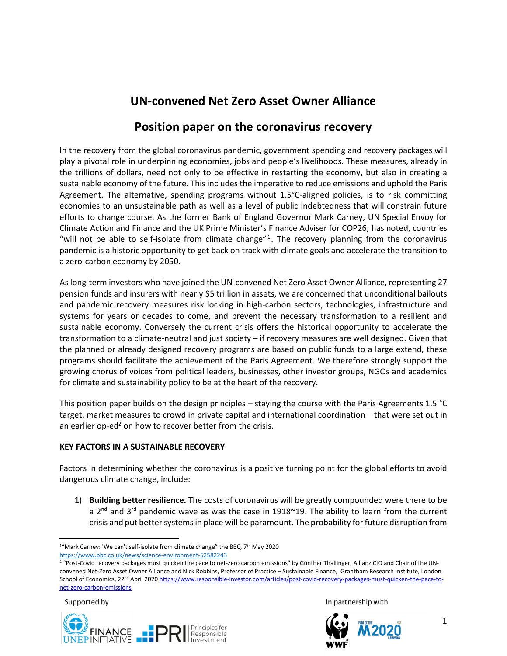# **UN-convened Net Zero Asset Owner Alliance**

## **Position paper on the coronavirus recovery**

In the recovery from the global coronavirus pandemic, government spending and recovery packages will play a pivotal role in underpinning economies, jobs and people's livelihoods. These measures, already in the trillions of dollars, need not only to be effective in restarting the economy, but also in creating a sustainable economy of the future. This includes the imperative to reduce emissions and uphold the Paris Agreement. The alternative, spending programs without 1.5°C-aligned policies, is to risk committing economies to an unsustainable path as well as a level of public indebtedness that will constrain future efforts to change course. As the former Bank of England Governor Mark Carney, UN Special Envoy for Climate Action and Finance and the UK Prime Minister's Finance Adviser for COP26, has noted, countries "will not be able to self-isolate from climate change"<sup>1</sup>. The recovery planning from the coronavirus pandemic is a historic opportunity to get back on track with climate goals and accelerate the transition to a zero-carbon economy by 2050.

As long-term investors who have joined the UN-convened Net Zero Asset Owner Alliance, representing 27 pension funds and insurers with nearly \$5 trillion in assets, we are concerned that unconditional bailouts and pandemic recovery measures risk locking in high-carbon sectors, technologies, infrastructure and systems for years or decades to come, and prevent the necessary transformation to a resilient and sustainable economy. Conversely the current crisis offers the historical opportunity to accelerate the transformation to a climate-neutral and just society – if recovery measures are well designed. Given that the planned or already designed recovery programs are based on public funds to a large extend, these programs should facilitate the achievement of the Paris Agreement. We therefore strongly support the growing chorus of voices from political leaders, businesses, other investor groups, NGOs and academics for climate and sustainability policy to be at the heart of the recovery.

This position paper builds on the design principles – staying the course with the Paris Agreements 1.5 °C target, market measures to crowd in private capital and international coordination – that were set out in an earlier op-ed<sup>2</sup> on how to recover better from the crisis.

#### **KEY FACTORS IN A SUSTAINABLE RECOVERY**

Factors in determining whether the coronavirus is a positive turning point for the global efforts to avoid dangerous climate change, include:

1) **Building better resilience.** The costs of coronavirus will be greatly compounded were there to be a  $2^{nd}$  and  $3^{rd}$  pandemic wave as was the case in 1918 $\sim$ 19. The ability to learn from the current crisis and put better systems in place will be paramount. The probability for future disruption from

Supported by





<sup>&</sup>lt;sup>1</sup>"Mark Carney: 'We can't self-isolate from climate change" the BBC, 7<sup>th</sup> May 2020

<https://www.bbc.co.uk/news/science-environment-52582243>

<sup>&</sup>lt;sup>2</sup> "Post-Covid recovery packages must quicken the pace to net-zero carbon emissions" by Günther Thallinger, Allianz CIO and Chair of the UNconvened Net-Zero Asset Owner Alliance and Nick Robbins, Professor of Practice – Sustainable Finance, Grantham Research Institute, London School of Economics, 22<sup>nd</sup> April 202[0 https://www.responsible-investor.com/articles/post-covid-recovery-packages-must-quicken-the-pace-to](https://www.responsible-investor.com/articles/post-covid-recovery-packages-must-quicken-the-pace-to-net-zero-carbon-emissions)[net-zero-carbon-emissions](https://www.responsible-investor.com/articles/post-covid-recovery-packages-must-quicken-the-pace-to-net-zero-carbon-emissions)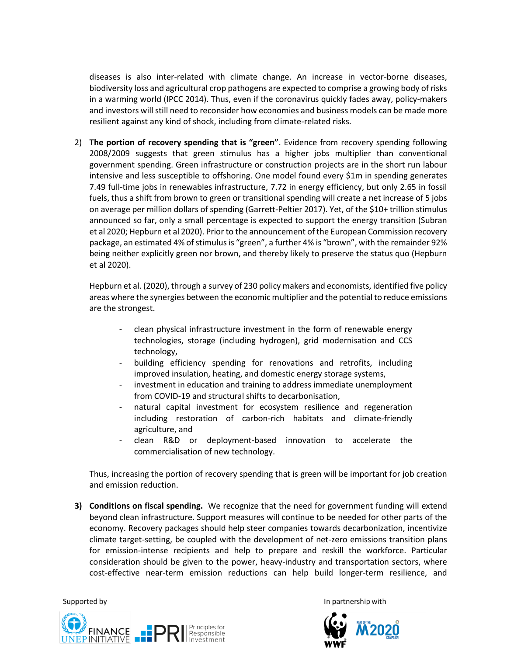diseases is also inter-related with climate change. An increase in vector-borne diseases, biodiversity loss and agricultural crop pathogens are expected to comprise a growing body of risks in a warming world (IPCC 2014). Thus, even if the coronavirus quickly fades away, policy-makers and investors will still need to reconsider how economies and business models can be made more resilient against any kind of shock, including from climate-related risks.

2) **The portion of recovery spending that is "green"**. Evidence from recovery spending following 2008/2009 suggests that green stimulus has a higher jobs multiplier than conventional government spending. Green infrastructure or construction projects are in the short run labour intensive and less susceptible to offshoring. One model found every \$1m in spending generates 7.49 full-time jobs in renewables infrastructure, 7.72 in energy efficiency, but only 2.65 in fossil fuels, thus a shift from brown to green or transitional spending will create a net increase of 5 jobs on average per million dollars of spending (Garrett-Peltier 2017). Yet, of the \$10+ trillion stimulus announced so far, only a small percentage is expected to support the energy transition (Subran et al 2020; Hepburn et al 2020). Prior to the announcement of the European Commission recovery package, an estimated 4% of stimulus is "green", a further 4% is "brown", with the remainder 92% being neither explicitly green nor brown, and thereby likely to preserve the status quo (Hepburn et al 2020).

Hepburn et al. (2020), through a survey of 230 policy makers and economists, identified five policy areas where the synergies between the economic multiplier and the potential to reduce emissions are the strongest.

- clean physical infrastructure investment in the form of renewable energy technologies, storage (including hydrogen), grid modernisation and CCS technology,
- building efficiency spending for renovations and retrofits, including improved insulation, heating, and domestic energy storage systems,
- investment in education and training to address immediate unemployment from COVID-19 and structural shifts to decarbonisation,
- natural capital investment for ecosystem resilience and regeneration including restoration of carbon-rich habitats and climate-friendly agriculture, and
- clean R&D or deployment-based innovation to accelerate the commercialisation of new technology.

Thus, increasing the portion of recovery spending that is green will be important for job creation and emission reduction.

**3) Conditions on fiscal spending.** We recognize that the need for government funding will extend beyond clean infrastructure. Support measures will continue to be needed for other parts of the economy. Recovery packages should help steer companies towards decarbonization, incentivize climate target-setting, be coupled with the development of net-zero emissions transition plans for emission-intense recipients and help to prepare and reskill the workforce. Particular consideration should be given to the power, heavy-industry and transportation sectors, where cost-effective near-term emission reductions can help build longer-term resilience, and

Supported by



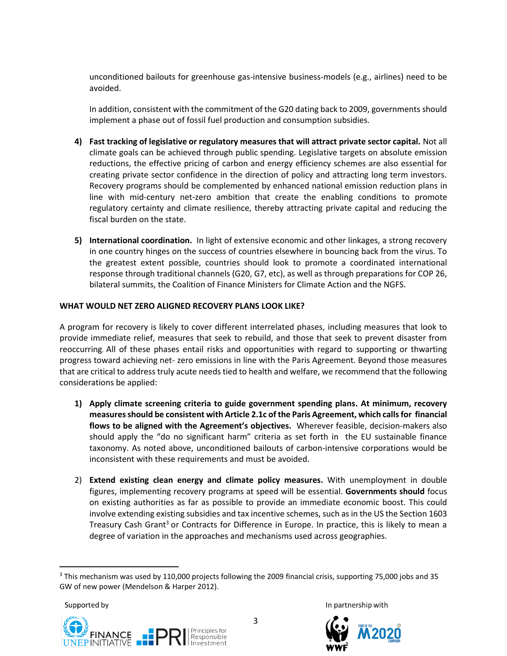unconditioned bailouts for greenhouse gas-intensive business-models (e.g., airlines) need to be avoided.

In addition, consistent with the commitment of the G20 dating back to 2009, governments should implement a phase out of fossil fuel production and consumption subsidies.

- **4) Fast tracking of legislative or regulatory measures that will attract private sector capital.** Not all climate goals can be achieved through public spending. Legislative targets on absolute emission reductions, the effective pricing of carbon and energy efficiency schemes are also essential for creating private sector confidence in the direction of policy and attracting long term investors. Recovery programs should be complemented by enhanced national emission reduction plans in line with mid-century net-zero ambition that create the enabling conditions to promote regulatory certainty and climate resilience, thereby attracting private capital and reducing the fiscal burden on the state.
- **5) International coordination.** In light of extensive economic and other linkages, a strong recovery in one country hinges on the success of countries elsewhere in bouncing back from the virus. To the greatest extent possible, countries should look to promote a coordinated international response through traditional channels (G20, G7, etc), as well as through preparations for COP 26, bilateral summits, the Coalition of Finance Ministers for Climate Action and the NGFS.

#### **WHAT WOULD NET ZERO ALIGNED RECOVERY PLANS LOOK LIKE?**

A program for recovery is likely to cover different interrelated phases, including measures that look to provide immediate relief, measures that seek to rebuild, and those that seek to prevent disaster from reoccurring. All of these phases entail risks and opportunities with regard to supporting or thwarting progress toward achieving net- zero emissions in line with the Paris Agreement. Beyond those measures that are critical to address truly acute needs tied to health and welfare, we recommend that the following considerations be applied:

- **1) Apply climate screening criteria to guide government spending plans. At minimum, recovery measures should be consistent with Article 2.1c of the Paris Agreement, which calls for financial flows to be aligned with the Agreement's objectives.** Wherever feasible, decision-makers also should apply the "do no significant harm" criteria as set forth in the EU sustainable finance taxonomy. As noted above, unconditioned bailouts of carbon-intensive corporations would be inconsistent with these requirements and must be avoided.
- 2) **Extend existing clean energy and climate policy measures.** With unemployment in double figures, implementing recovery programs at speed will be essential. **Governments should** focus on existing authorities as far as possible to provide an immediate economic boost. This could involve extending existing subsidies and tax incentive schemes, such as in the US the Section 1603 Treasury Cash Grant<sup>3</sup> or Contracts for Difference in Europe. In practice, this is likely to mean a degree of variation in the approaches and mechanisms used across geographies.

Supported by





<sup>&</sup>lt;sup>3</sup> This mechanism was used by 110,000 projects following the 2009 financial crisis, supporting 75,000 jobs and 35 GW of new power (Mendelson & Harper 2012).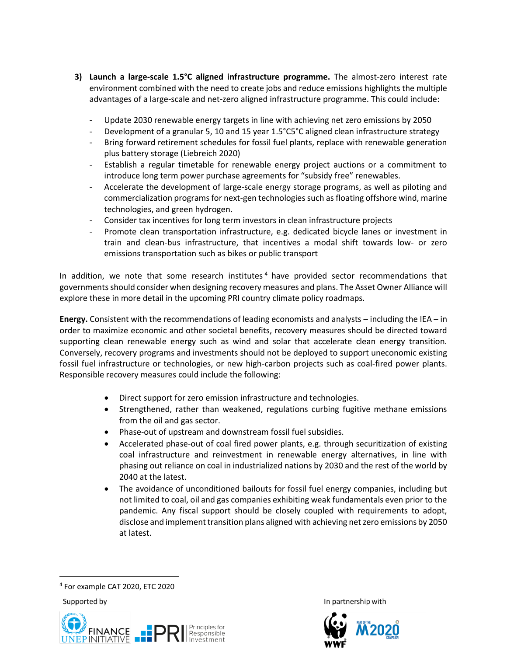- **3) Launch a large-scale 1.5°C aligned infrastructure programme.** The almost-zero interest rate environment combined with the need to create jobs and reduce emissions highlights the multiple advantages of a large-scale and net-zero aligned infrastructure programme. This could include:
	- Update 2030 renewable energy targets in line with achieving net zero emissions by 2050
	- Development of a granular 5, 10 and 15 year 1.5°C5°C aligned clean infrastructure strategy
	- Bring forward retirement schedules for fossil fuel plants, replace with renewable generation plus battery storage (Liebreich 2020)
	- Establish a regular timetable for renewable energy project auctions or a commitment to introduce long term power purchase agreements for "subsidy free" renewables.
	- Accelerate the development of large-scale energy storage programs, as well as piloting and commercialization programs for next-gen technologies such as floating offshore wind, marine technologies, and green hydrogen.
	- Consider tax incentives for long term investors in clean infrastructure projects
	- Promote clean transportation infrastructure, e.g. dedicated bicycle lanes or investment in train and clean-bus infrastructure, that incentives a modal shift towards low- or zero emissions transportation such as bikes or public transport

In addition, we note that some research institutes<sup>4</sup> have provided sector recommendations that governments should consider when designing recovery measures and plans. The Asset Owner Alliance will explore these in more detail in the upcoming PRI country climate policy roadmaps.

**Energy.** Consistent with the recommendations of leading economists and analysts – including the IEA – in order to maximize economic and other societal benefits, recovery measures should be directed toward supporting clean renewable energy such as wind and solar that accelerate clean energy transition. Conversely, recovery programs and investments should not be deployed to support uneconomic existing fossil fuel infrastructure or technologies, or new high-carbon projects such as coal-fired power plants. Responsible recovery measures could include the following:

- Direct support for zero emission infrastructure and technologies.
- Strengthened, rather than weakened, regulations curbing fugitive methane emissions from the oil and gas sector.
- Phase-out of upstream and downstream fossil fuel subsidies.
- Accelerated phase-out of coal fired power plants, e.g. through securitization of existing coal infrastructure and reinvestment in renewable energy alternatives, in line with phasing out reliance on coal in industrialized nations by 2030 and the rest of the world by 2040 at the latest.
- The avoidance of unconditioned bailouts for fossil fuel energy companies, including but not limited to coal, oil and gas companies exhibiting weak fundamentals even prior to the pandemic. Any fiscal support should be closely coupled with requirements to adopt, disclose and implement transition plans aligned with achieving net zero emissions by 2050 at latest.

Supported by





<sup>4</sup> For example CAT 2020, ETC 2020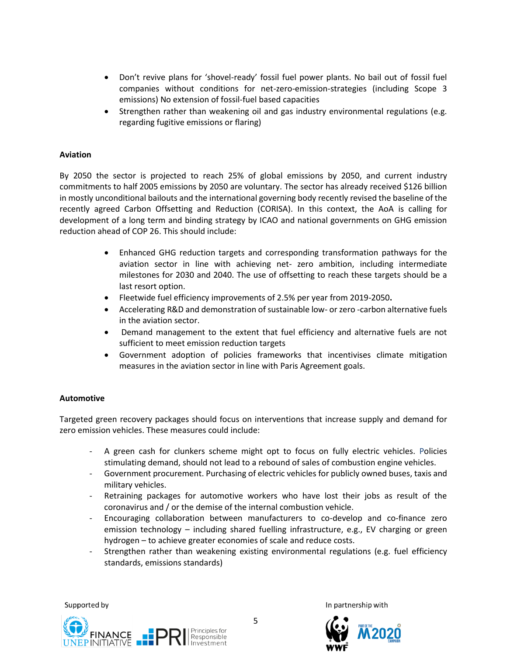- Don't revive plans for 'shovel-ready' fossil fuel power plants. No bail out of fossil fuel companies without conditions for net-zero-emission-strategies (including Scope 3 emissions) No extension of fossil-fuel based capacities
- Strengthen rather than weakening oil and gas industry environmental regulations (e.g. regarding fugitive emissions or flaring)

#### **Aviation**

By 2050 the sector is projected to reach 25% of global emissions by 2050, and current industry commitments to half 2005 emissions by 2050 are voluntary. The sector has already received \$126 billion in mostly unconditional bailouts and the international governing body recently revised the baseline of the recently agreed Carbon Offsetting and Reduction (CORISA). In this context, the AoA is calling for development of a long term and binding strategy by ICAO and national governments on GHG emission reduction ahead of COP 26. This should include:

- Enhanced GHG reduction targets and corresponding transformation pathways for the aviation sector in line with achieving net- zero ambition, including intermediate milestones for 2030 and 2040. The use of offsetting to reach these targets should be a last resort option.
- Fleetwide fuel efficiency improvements of 2.5% per year from 2019-2050**.**
- Accelerating R&D and demonstration of sustainable low- or zero -carbon alternative fuels in the aviation sector.
- Demand management to the extent that fuel efficiency and alternative fuels are not sufficient to meet emission reduction targets
- Government adoption of policies frameworks that incentivises climate mitigation measures in the aviation sector in line with Paris Agreement goals.

#### **Automotive**

Targeted green recovery packages should focus on interventions that increase supply and demand for zero emission vehicles. These measures could include:

- A green cash for clunkers scheme might opt to focus on fully electric vehicles. Policies stimulating demand, should not lead to a rebound of sales of combustion engine vehicles.
- Government procurement. Purchasing of electric vehicles for publicly owned buses, taxis and military vehicles.
- Retraining packages for automotive workers who have lost their jobs as result of the coronavirus and / or the demise of the internal combustion vehicle.
- Encouraging collaboration between manufacturers to co-develop and co-finance zero emission technology – including shared fuelling infrastructure, e.g., EV charging or green hydrogen – to achieve greater economies of scale and reduce costs.
- Strengthen rather than weakening existing environmental regulations (e.g. fuel efficiency standards, emissions standards)



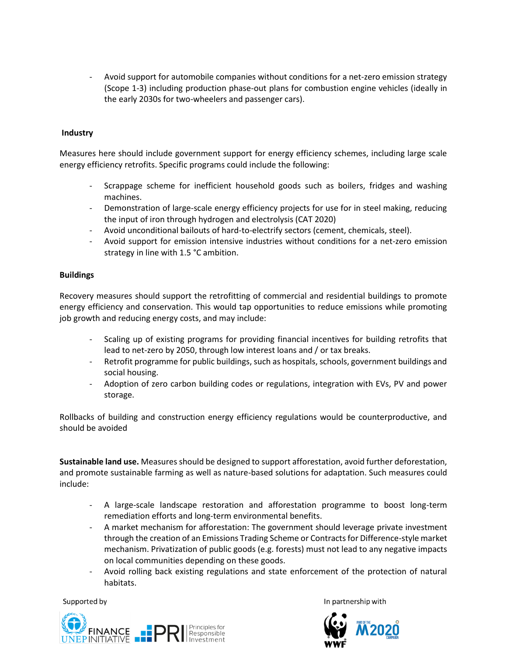Avoid support for automobile companies without conditions for a net-zero emission strategy (Scope 1-3) including production phase-out plans for combustion engine vehicles (ideally in the early 2030s for two-wheelers and passenger cars).

#### **Industry**

Measures here should include government support for energy efficiency schemes, including large scale energy efficiency retrofits. Specific programs could include the following:

- Scrappage scheme for inefficient household goods such as boilers, fridges and washing machines.
- Demonstration of large-scale energy efficiency projects for use for in steel making, reducing the input of iron through hydrogen and electrolysis (CAT 2020)
- Avoid unconditional bailouts of hard-to-electrify sectors (cement, chemicals, steel).
- Avoid support for emission intensive industries without conditions for a net-zero emission strategy in line with 1.5 °C ambition.

#### **Buildings**

Recovery measures should support the retrofitting of commercial and residential buildings to promote energy efficiency and conservation. This would tap opportunities to reduce emissions while promoting job growth and reducing energy costs, and may include:

- Scaling up of existing programs for providing financial incentives for building retrofits that lead to net-zero by 2050, through low interest loans and / or tax breaks.
- Retrofit programme for public buildings, such as hospitals, schools, government buildings and social housing.
- Adoption of zero carbon building codes or regulations, integration with EVs, PV and power storage.

Rollbacks of building and construction energy efficiency regulations would be counterproductive, and should be avoided

**Sustainable land use.** Measures should be designed to support afforestation, avoid further deforestation, and promote sustainable farming as well as nature-based solutions for adaptation. Such measures could include:

- A large-scale landscape restoration and afforestation programme to boost long-term remediation efforts and long-term environmental benefits.
- A market mechanism for afforestation: The government should leverage private investment through the creation of an Emissions Trading Scheme or Contracts for Difference-style market mechanism. Privatization of public goods (e.g. forests) must not lead to any negative impacts on local communities depending on these goods.
- Avoid rolling back existing regulations and state enforcement of the protection of natural habitats.

Supported by